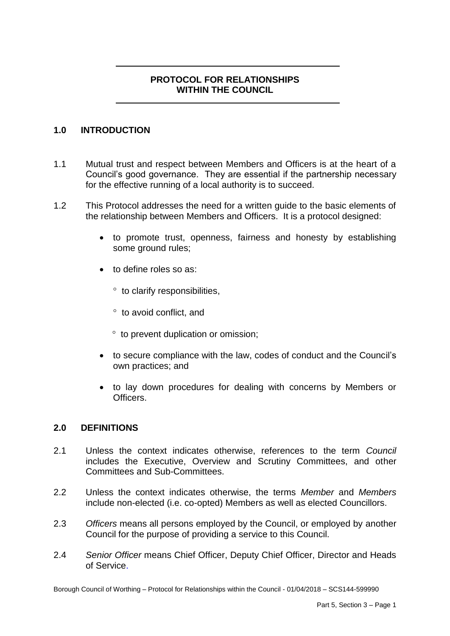# **PROTOCOL FOR RELATIONSHIPS WITHIN THE COUNCIL**

## **1.0 INTRODUCTION**

- 1.1 Mutual trust and respect between Members and Officers is at the heart of a Council's good governance. They are essential if the partnership necessary for the effective running of a local authority is to succeed.
- 1.2 This Protocol addresses the need for a written guide to the basic elements of the relationship between Members and Officers. It is a protocol designed:
	- to promote trust, openness, fairness and honesty by establishing some ground rules:
	- to define roles so as:
		- to clarify responsibilities,
		- to avoid conflict, and
		- $\degree$  to prevent duplication or omission;
	- to secure compliance with the law, codes of conduct and the Council's own practices; and
	- to lay down procedures for dealing with concerns by Members or Officers.

### **2.0 DEFINITIONS**

- 2.1 Unless the context indicates otherwise, references to the term *Council*  includes the Executive, Overview and Scrutiny Committees, and other Committees and Sub-Committees.
- 2.2 Unless the context indicates otherwise, the terms *Member* and *Members*  include non-elected (i.e. co-opted) Members as well as elected Councillors.
- 2.3 *Officers* means all persons employed by the Council, or employed by another Council for the purpose of providing a service to this Council.
- 2.4 *Senior Officer* means Chief Officer, Deputy Chief Officer, Director and Heads of Service.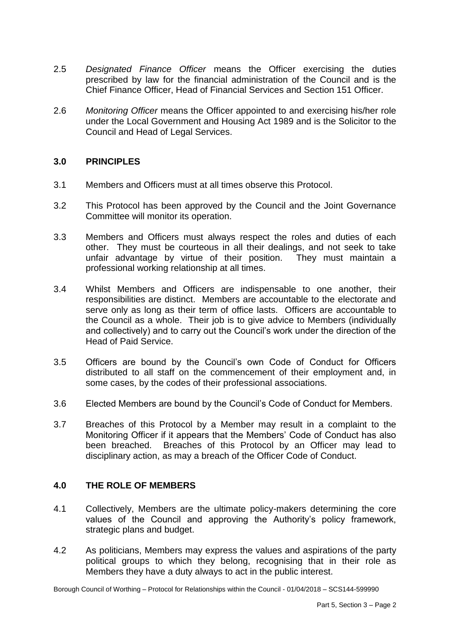- 2.5 *Designated Finance Officer* means the Officer exercising the duties prescribed by law for the financial administration of the Council and is the Chief Finance Officer, Head of Financial Services and Section 151 Officer.
- 2.6 *Monitoring Officer* means the Officer appointed to and exercising his/her role under the Local Government and Housing Act 1989 and is the Solicitor to the Council and Head of Legal Services.

### **3.0 PRINCIPLES**

- 3.1 Members and Officers must at all times observe this Protocol.
- 3.2 This Protocol has been approved by the Council and the Joint Governance Committee will monitor its operation.
- 3.3 Members and Officers must always respect the roles and duties of each other. They must be courteous in all their dealings, and not seek to take unfair advantage by virtue of their position. They must maintain a professional working relationship at all times.
- 3.4 Whilst Members and Officers are indispensable to one another, their responsibilities are distinct. Members are accountable to the electorate and serve only as long as their term of office lasts. Officers are accountable to the Council as a whole. Their job is to give advice to Members (individually and collectively) and to carry out the Council's work under the direction of the Head of Paid Service.
- 3.5 Officers are bound by the Council's own Code of Conduct for Officers distributed to all staff on the commencement of their employment and, in some cases, by the codes of their professional associations.
- 3.6 Elected Members are bound by the Council's Code of Conduct for Members.
- 3.7 Breaches of this Protocol by a Member may result in a complaint to the Monitoring Officer if it appears that the Members' Code of Conduct has also been breached. Breaches of this Protocol by an Officer may lead to disciplinary action, as may a breach of the Officer Code of Conduct.

### **4.0 THE ROLE OF MEMBERS**

- 4.1 Collectively, Members are the ultimate policy-makers determining the core values of the Council and approving the Authority's policy framework, strategic plans and budget.
- 4.2 As politicians, Members may express the values and aspirations of the party political groups to which they belong, recognising that in their role as Members they have a duty always to act in the public interest.

Borough Council of Worthing – Protocol for Relationships within the Council - 01/04/2018 – SCS144-599990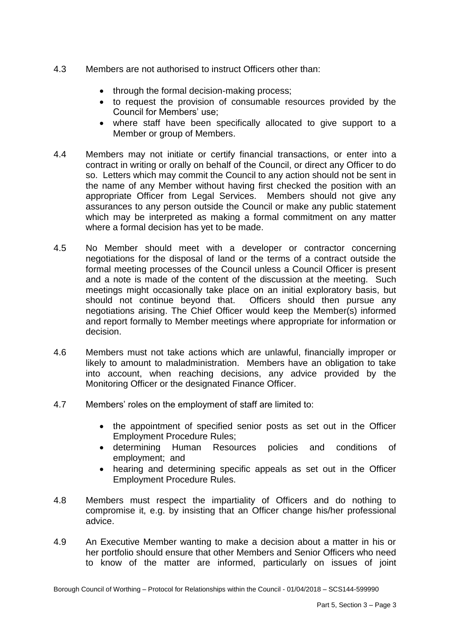- 4.3 Members are not authorised to instruct Officers other than:
	- through the formal decision-making process;
	- to request the provision of consumable resources provided by the Council for Members' use;
	- where staff have been specifically allocated to give support to a Member or group of Members.
- 4.4 Members may not initiate or certify financial transactions, or enter into a contract in writing or orally on behalf of the Council, or direct any Officer to do the name of any Member without having first checked the position with an appropriate Officer from Legal Services. Members should not give any assurances to any person outside the Council or make any public statement which may be interpreted as making a formal commitment on any matter where a formal decision has yet to be made. so. Letters which may commit the Council to any action should not be sent in
- 4.5 No Member should meet with a developer or contractor concerning negotiations for the disposal of land or the terms of a contract outside the formal meeting processes of the Council unless a Council Officer is present and a note is made of the content of the discussion at the meeting. Such meetings might occasionally take place on an initial exploratory basis, but should not continue beyond that. Officers should then pursue any negotiations arising. The Chief Officer would keep the Member(s) informed and report formally to Member meetings where appropriate for information or decision.
- likely to amount to maladministration. Members have an obligation to take into account, when reaching decisions, any advice provided by the 4.6 Members must not take actions which are unlawful, financially improper or Monitoring Officer or the designated Finance Officer.
- 4.7 Members' roles on the employment of staff are limited to:
	- the appointment of specified senior posts as set out in the Officer Employment Procedure Rules;
	- determining Human Resources policies and conditions of employment; and
	- $\bullet$  hearing and determining specific appeals as set out in the Officer Employment Procedure Rules.
- 4.8 Members must respect the impartiality of Officers and do nothing to compromise it, e.g. by insisting that an Officer change his/her professional advice.
- 4.9 to know of the matter are informed, particularly on issues of joint An Executive Member wanting to make a decision about a matter in his or her portfolio should ensure that other Members and Senior Officers who need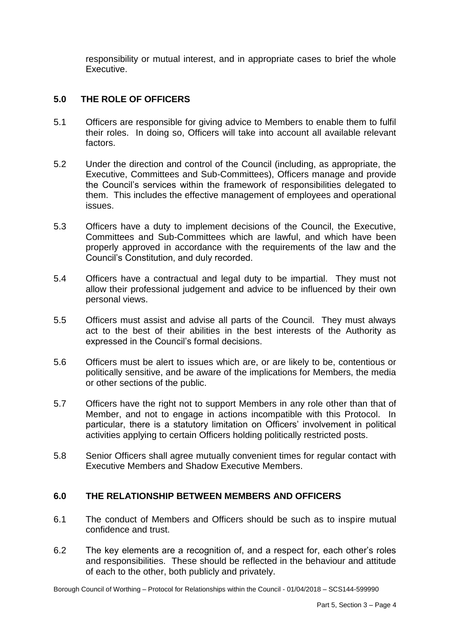responsibility or mutual interest, and in appropriate cases to brief the whole Executive.

## **5.0 THE ROLE OF OFFICERS**

- 5.1 Officers are responsible for giving advice to Members to enable them to fulfil their roles. In doing so, Officers will take into account all available relevant factors.
- 5.2 Under the direction and control of the Council (including, as appropriate, the Executive, Committees and Sub-Committees), Officers manage and provide the Council's services within the framework of responsibilities delegated to them. This includes the effective management of employees and operational issues.
- 5.3 Officers have a duty to implement decisions of the Council, the Executive, Committees and Sub-Committees which are lawful, and which have been properly approved in accordance with the requirements of the law and the Council's Constitution, and duly recorded.
- 5.4 Officers have a contractual and legal duty to be impartial. They must not allow their professional judgement and advice to be influenced by their own personal views.
- 5.5 Officers must assist and advise all parts of the Council. They must always act to the best of their abilities in the best interests of the Authority as expressed in the Council's formal decisions.
- 5.6 Officers must be alert to issues which are, or are likely to be, contentious or politically sensitive, and be aware of the implications for Members, the media or other sections of the public.
- 5.7 Officers have the right not to support Members in any role other than that of Member, and not to engage in actions incompatible with this Protocol. In particular, there is a statutory limitation on Officers' involvement in political activities applying to certain Officers holding politically restricted posts.
- 5.8 Senior Officers shall agree mutually convenient times for regular contact with Executive Members and Shadow Executive Members.

### **6.0 THE RELATIONSHIP BETWEEN MEMBERS AND OFFICERS**

- 61 The conduct of Members and Officers should be such as to inspire mutual confidence and trust.
- 6.2 The key elements are a recognition of, and a respect for, each other's roles and responsibilities. These should be reflected in the behaviour and attitude of each to the other, both publicly and privately.

Borough Council of Worthing – Protocol for Relationships within the Council - 01/04/2018 – SCS144-599990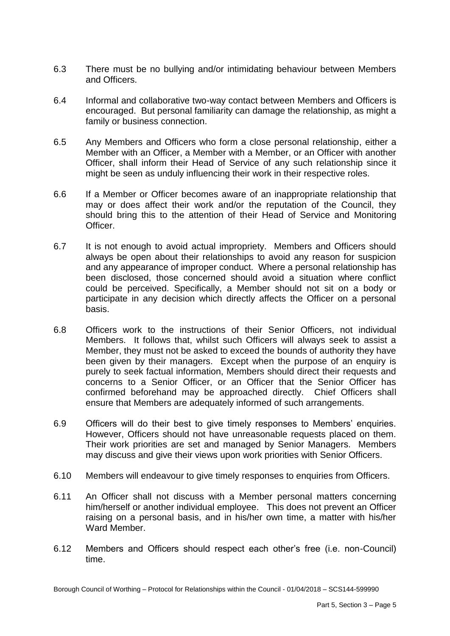- 6.3 There must be no bullying and/or intimidating behaviour between Members and Officers.
- 6.4 Informal and collaborative two-way contact between Members and Officers is encouraged. But personal familiarity can damage the relationship, as might a family or business connection.
- $6.5^{\circ}$  Member with an Officer, a Member with a Member, or an Officer with another Officer, shall inform their Head of Service of any such relationship since it 6.5 Any Members and Officers who form a close personal relationship, either a might be seen as unduly influencing their work in their respective roles.
- 6.6 may or does affect their work and/or the reputation of the Council, they should bring this to the attention of their Head of Service and Monitoring If a Member or Officer becomes aware of an inappropriate relationship that Officer.
- 6.7 always be open about their relationships to avoid any reason for suspicion been disclosed, those concerned should avoid a situation where conflict could be perceived. Specifically, a Member should not sit on a body or participate in any decision which directly affects the Officer on a personal It is not enough to avoid actual impropriety. Members and Officers should and any appearance of improper conduct. Where a personal relationship has basis.
- 6.8 Officers work to the instructions of their Senior Officers, not individual Members. It follows that, whilst such Officers will always seek to assist a Member, they must not be asked to exceed the bounds of authority they have been given by their managers. Except when the purpose of an enquiry is purely to seek factual information, Members should direct their requests and concerns to a Senior Officer, or an Officer that the Senior Officer has confirmed beforehand may be approached directly. Chief Officers shall ensure that Members are adequately informed of such arrangements.
- 6.9 Officers will do their best to give timely responses to Members' enquiries. However, Officers should not have unreasonable requests placed on them. Their work priorities are set and managed by Senior Managers. Members may discuss and give their views upon work priorities with Senior Officers.
- 6.10 Members will endeavour to give timely responses to enquiries from Officers.
- 6 11 him/herself or another individual employee. This does not prevent an Officer raising on a personal basis, and in his/her own time, a matter with his/her An Officer shall not discuss with a Member personal matters concerning Ward Member.
- 6.12 Members and Officers should respect each other's free (i.e. non-Council) time.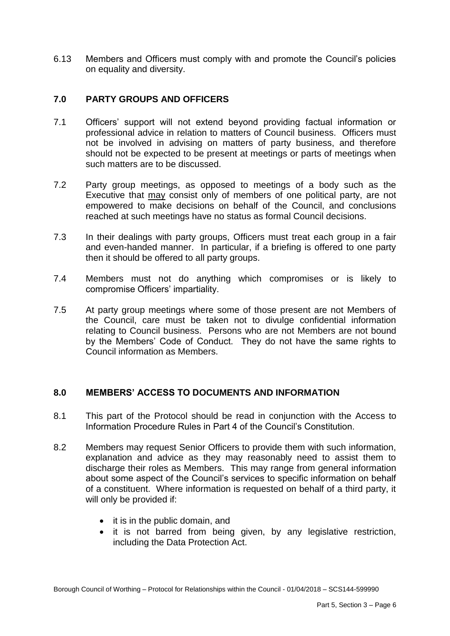6.13 Members and Officers must comply with and promote the Council's policies on equality and diversity.

## **7.0 PARTY GROUPS AND OFFICERS**

- 7.1 Officers' support will not extend beyond providing factual information or professional advice in relation to matters of Council business. Officers must not be involved in advising on matters of party business, and therefore should not be expected to be present at meetings or parts of meetings when such matters are to be discussed.
- $7.2$ Executive that may consist only of members of one political party, are not empowered to make decisions on behalf of the Council, and conclusions Party group meetings, as opposed to meetings of a body such as the reached at such meetings have no status as formal Council decisions.
- $7.3$  and even-handed manner. In particular, if a briefing is offered to one party then it should be offered to all party groups. In their dealings with party groups, Officers must treat each group in a fair
- 7.4 Members must not do anything which compromises or is likely to compromise Officers' impartiality.
- 7.5 At party group meetings where some of those present are not Members of the Council, care must be taken not to divulge confidential information relating to Council business. Persons who are not Members are not bound by the Members' Code of Conduct. They do not have the same rights to Council information as Members.

### **8.0 MEMBERS' ACCESS TO DOCUMENTS AND INFORMATION**

- 8.1 This part of the Protocol should be read in conjunction with the Access to Information Procedure Rules in Part 4 of the Council's Constitution.
- 8.2 Members may request Senior Officers to provide them with such information, explanation and advice as they may reasonably need to assist them to discharge their roles as Members. This may range from general information about some aspect of the Council's services to specific information on behalf of a constituent. Where information is requested on behalf of a third party, it will only be provided if:
	- it is in the public domain, and
	- it is not barred from being given, by any legislative restriction, including the Data Protection Act.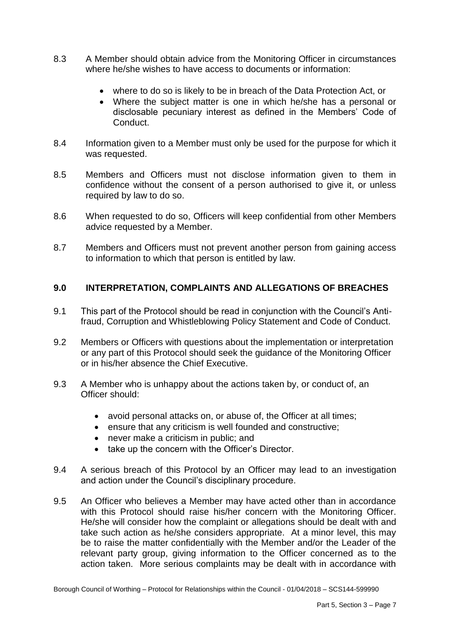- 8.3 8.3 A Member should obtain advice from the Monitoring Officer in circumstances where he/she wishes to have access to documents or information:
	- where to do so is likely to be in breach of the Data Protection Act, or
	- Where the subject matter is one in which he/she has a personal or disclosable pecuniary interest as defined in the Members' Code of Conduct.
- 8.4 Information given to a Member must only be used for the purpose for which it was requested.
- 8.5 Members and Officers must not disclose information given to them in confidence without the consent of a person authorised to give it, or unless required by law to do so.
- $8.6$ When requested to do so, Officers will keep confidential from other Members advice requested by a Member.
- 8.7 Members and Officers must not prevent another person from gaining access to information to which that person is entitled by law.

## **9.0 INTERPRETATION, COMPLAINTS AND ALLEGATIONS OF BREACHES**

- 9.1 This part of the Protocol should be read in conjunction with the Council's Antifraud, Corruption and Whistleblowing Policy Statement and Code of Conduct.
- 9.2 Members or Officers with questions about the implementation or interpretation or any part of this Protocol should seek the guidance of the Monitoring Officer or in his/her absence the Chief Executive.
- 9.3 A Member who is unhappy about the actions taken by, or conduct of, an Officer should:
	- avoid personal attacks on, or abuse of, the Officer at all times;
	- ensure that any criticism is well founded and constructive;
	- never make a criticism in public; and
	- take up the concern with the Officer's Director.
- 9.4 A serious breach of this Protocol by an Officer may lead to an investigation and action under the Council's disciplinary procedure.
- $9.5$  with this Protocol should raise his/her concern with the Monitoring Officer. He/she will consider how the complaint or allegations should be dealt with and take such action as he/she considers appropriate. At a minor level, this may be to raise the matter confidentially with the Member and/or the Leader of the relevant party group, giving information to the Officer concerned as to the action taken. More serious complaints may be dealt with in accordance with An Officer who believes a Member may have acted other than in accordance